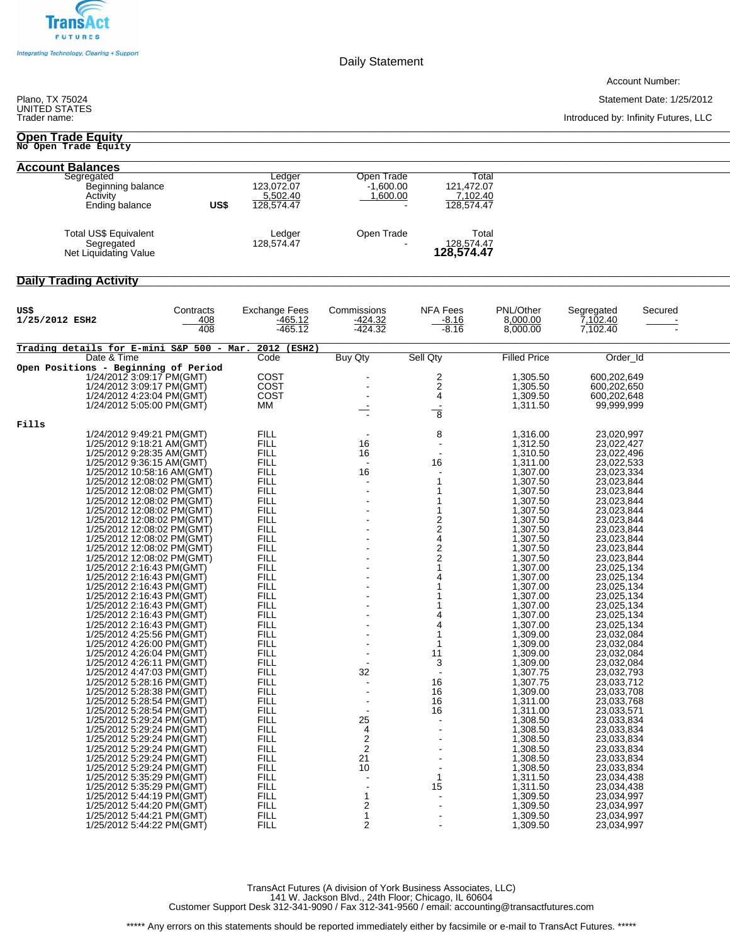

Daily Statement

Account Number:

Statement Date: 1/25/2012

Introduced by: Infinity Futures, LLC \_\_\_\_\_\_\_\_\_\_\_\_\_\_\_\_\_\_\_\_\_\_\_\_\_\_\_\_\_\_\_\_\_\_\_\_\_\_\_\_\_\_\_\_\_\_\_\_\_\_\_\_\_\_\_\_\_\_\_\_\_\_\_\_\_\_\_\_\_\_\_\_\_\_\_\_\_\_\_\_\_\_\_\_\_\_\_\_\_\_\_\_\_\_\_\_\_\_\_\_\_\_\_\_\_\_\_\_\_\_\_\_\_\_\_\_\_\_\_\_\_\_\_\_\_\_\_\_\_\_\_\_\_\_\_\_\_\_\_\_\_\_\_\_\_

## Plano, TX 75024<br>UNITED STATES<br>Trader name:

## \_\_\_\_\_\_\_\_\_\_\_\_\_\_\_\_\_\_\_\_\_\_\_\_\_\_\_\_\_\_\_\_\_\_\_\_\_\_\_\_\_\_\_\_\_\_\_\_\_\_\_\_\_\_\_\_\_\_\_\_\_\_\_\_\_\_\_\_\_\_\_\_\_\_\_\_\_\_\_\_\_\_\_\_\_\_\_\_\_\_\_\_\_\_\_\_\_\_\_\_\_\_\_\_\_\_\_\_\_\_\_\_\_\_\_\_\_\_\_\_\_\_\_\_\_\_\_\_\_\_\_\_\_\_\_\_\_\_\_\_\_\_\_\_\_ **Open Trade Equity No Open Trade Equity**

| <b>Account Balances</b>                                       |      |                                                |                                       |                                               |
|---------------------------------------------------------------|------|------------------------------------------------|---------------------------------------|-----------------------------------------------|
| Segregated<br>Beginning balance<br>Activity<br>Ending balance | US\$ | Ledger<br>123.072.07<br>5,502.40<br>128.574.47 | Open Trade<br>$-1.600.00$<br>1,600.00 | Total<br>121,472.07<br>7,102.40<br>128,574.47 |
| Total US\$ Equivalent<br>Segregated<br>Net Liquidating Value  |      | Ledger<br>128.574.47                           | Open Trade                            | Total<br>128,574.47<br><b>128,574.47</b>      |

## \_\_\_\_\_\_\_\_\_\_\_\_\_\_\_\_\_\_\_\_\_\_\_\_\_\_\_\_\_\_\_\_\_\_\_\_\_\_\_\_\_\_\_\_\_\_\_\_\_\_\_\_\_\_\_\_\_\_\_\_\_\_\_\_\_\_\_\_\_\_\_\_\_\_\_\_\_\_\_\_\_\_\_\_\_\_\_\_\_\_\_\_\_\_\_\_\_\_\_\_\_\_\_\_\_\_\_\_\_\_\_\_\_\_\_\_\_\_\_\_\_\_\_\_\_\_\_\_\_\_\_\_\_\_\_\_\_\_\_\_\_\_\_\_\_ Daily Trading Activity

| US\$<br>1/25/2012 ESH2                                   | Contracts<br>408<br>408 | <b>Exchange Fees</b><br>$-465.12$<br>$-465.12$ | Commissions<br>$-424.32$<br>$-424.32$ | <b>NFA Fees</b><br>$-8.16$<br>$-8.16$ | PNL/Other<br>8,000.00<br>8,000.00 | Segregated<br>Secured<br>7,102.40<br>7,102.40 |  |
|----------------------------------------------------------|-------------------------|------------------------------------------------|---------------------------------------|---------------------------------------|-----------------------------------|-----------------------------------------------|--|
| Trading details for E-mini S&P 500 - Mar. 2012 (ESH2)    |                         |                                                |                                       |                                       |                                   |                                               |  |
| Date & Time                                              |                         | Code                                           | <b>Buy Qty</b>                        | Sell Qty                              | <b>Filled Price</b>               | Order_Id                                      |  |
| Open Positions - Beginning of Period                     |                         |                                                |                                       |                                       |                                   |                                               |  |
| 1/24/2012 3:09:17 PM(GMT)                                |                         | COST                                           |                                       | 2                                     | 1,305.50                          | 600,202,649                                   |  |
| 1/24/2012 3:09:17 PM(GMT)                                |                         | COST                                           |                                       | $\overline{c}$                        | 1,305.50                          | 600,202,650                                   |  |
| 1/24/2012 4:23:04 PM(GMT)                                |                         | COST                                           |                                       | 4                                     | 1,309.50                          | 600,202,648                                   |  |
| 1/24/2012 5:05:00 PM(GMT)                                |                         | MМ                                             |                                       |                                       | 1,311.50                          | 99,999,999                                    |  |
|                                                          |                         |                                                |                                       | $\overline{\bf 8}$                    |                                   |                                               |  |
| Fills                                                    |                         |                                                |                                       |                                       |                                   |                                               |  |
| 1/24/2012 9:49:21 PM(GMT)                                |                         | <b>FILL</b>                                    |                                       | 8                                     | 1,316.00                          | 23,020,997                                    |  |
| 1/25/2012 9:18:21 AM(GMT)                                |                         | <b>FILL</b>                                    | 16                                    | $\sim$                                | 1,312.50                          | 23,022,427                                    |  |
| 1/25/2012 9:28:35 AM(GMT)                                |                         | <b>FILL</b>                                    | 16                                    |                                       | 1,310.50                          | 23,022,496                                    |  |
| 1/25/2012 9:36:15 AM(GMT)                                |                         | <b>FILL</b>                                    | $\sim$                                | 16                                    | 1,311.00                          | 23,022,533                                    |  |
| 1/25/2012 10:58:16 AM(GMT)                               |                         | <b>FILL</b>                                    | 16                                    |                                       | 1,307.00                          | 23,023,334                                    |  |
| 1/25/2012 12:08:02 PM(GMT)                               |                         | <b>FILL</b>                                    |                                       | 1                                     | 1,307.50                          | 23,023,844                                    |  |
| 1/25/2012 12:08:02 PM(GMT)                               |                         | <b>FILL</b>                                    |                                       |                                       | 1,307.50                          | 23,023,844                                    |  |
| 1/25/2012 12:08:02 PM(GMT)                               |                         | <b>FILL</b><br><b>FILL</b>                     |                                       |                                       | 1,307.50                          | 23,023,844                                    |  |
| 1/25/2012 12:08:02 PM(GMT)<br>1/25/2012 12:08:02 PM(GMT) |                         | <b>FILL</b>                                    |                                       | 1                                     | 1,307.50<br>1,307.50              | 23,023,844<br>23,023,844                      |  |
| 1/25/2012 12:08:02 PM(GMT)                               |                         | <b>FILL</b>                                    |                                       | $\frac{2}{2}$                         | 1,307.50                          | 23,023,844                                    |  |
| 1/25/2012 12:08:02 PM(GMT)                               |                         | <b>FILL</b>                                    |                                       | 4                                     | 1,307.50                          | 23,023,844                                    |  |
| 1/25/2012 12:08:02 PM(GMT)                               |                         | <b>FILL</b>                                    |                                       | 2                                     | 1,307.50                          | 23,023,844                                    |  |
| 1/25/2012 12:08:02 PM(GMT)                               |                         | <b>FILL</b>                                    |                                       | $\overline{2}$                        | 1,307.50                          | 23,023,844                                    |  |
| 1/25/2012 2:16:43 PM(GMT)                                |                         | <b>FILL</b>                                    |                                       |                                       | 1,307.00                          | 23,025,134                                    |  |
| 1/25/2012 2:16:43 PM(GMT)                                |                         | <b>FILL</b>                                    |                                       |                                       | 1,307.00                          | 23,025,134                                    |  |
| 1/25/2012 2:16:43 PM(GMT)                                |                         | <b>FILL</b>                                    |                                       |                                       | 1,307.00                          | 23,025,134                                    |  |
| 1/25/2012 2:16:43 PM(GMT)                                |                         | <b>FILL</b>                                    |                                       |                                       | 1,307.00                          | 23,025,134                                    |  |
| 1/25/2012 2:16:43 PM(GMT)                                |                         | <b>FILL</b>                                    |                                       |                                       | 1,307.00                          | 23,025,134                                    |  |
| 1/25/2012 2:16:43 PM(GMT)                                |                         | <b>FILL</b>                                    |                                       |                                       | 1,307.00                          | 23,025,134                                    |  |
| 1/25/2012 2:16:43 PM(GMT)                                |                         | <b>FILL</b>                                    |                                       | 4                                     | 1,307.00                          | 23,025,134                                    |  |
| 1/25/2012 4:25:56 PM(GMT)                                |                         | <b>FILL</b>                                    |                                       | 1                                     | 1.309.00                          | 23,032,084                                    |  |
| 1/25/2012 4:26:00 PM(GMT)                                |                         | <b>FILL</b>                                    |                                       |                                       | 1,309.00                          | 23,032,084                                    |  |
| 1/25/2012 4:26:04 PM(GMT)                                |                         | <b>FILL</b>                                    |                                       | 11                                    | 1,309.00                          | 23,032,084                                    |  |
| 1/25/2012 4:26:11 PM(GMT)                                |                         | <b>FILL</b>                                    |                                       | 3                                     | 1,309.00                          | 23,032,084                                    |  |
| 1/25/2012 4:47:03 PM(GMT)                                |                         | <b>FILL</b>                                    | 32                                    |                                       | 1,307.75                          | 23,032,793                                    |  |
| 1/25/2012 5:28:16 PM(GMT)                                |                         | <b>FILL</b>                                    |                                       | 16                                    | 1,307.75                          | 23,033,712                                    |  |
| 1/25/2012 5:28:38 PM(GMT)                                |                         | <b>FILL</b>                                    |                                       | 16                                    | 1,309.00                          | 23,033,708                                    |  |
| 1/25/2012 5:28:54 PM(GMT)                                |                         | <b>FILL</b>                                    |                                       | 16                                    | 1,311.00                          | 23,033,768                                    |  |
| 1/25/2012 5:28:54 PM(GMT)                                |                         | <b>FILL</b>                                    |                                       | 16                                    | 1,311.00                          | 23,033,571                                    |  |
| 1/25/2012 5:29:24 PM(GMT)                                |                         | <b>FILL</b>                                    | 25                                    |                                       | 1,308.50                          | 23,033,834                                    |  |
| 1/25/2012 5:29:24 PM(GMT)                                |                         | <b>FILL</b>                                    | $\overline{\mathbf{4}}$               |                                       | 1,308.50                          | 23,033,834                                    |  |
| 1/25/2012 5:29:24 PM(GMT)                                |                         | <b>FILL</b>                                    | $\overline{2}$<br>$\overline{2}$      |                                       | 1,308.50                          | 23,033,834                                    |  |
| 1/25/2012 5:29:24 PM(GMT)<br>1/25/2012 5:29:24 PM(GMT)   |                         | <b>FILL</b><br><b>FILL</b>                     | 21                                    |                                       | 1,308.50<br>1,308.50              | 23,033,834<br>23,033,834                      |  |
| 1/25/2012 5:29:24 PM(GMT)                                |                         | <b>FILL</b>                                    | 10                                    |                                       | 1,308.50                          | 23,033,834                                    |  |
| 1/25/2012 5:35:29 PM(GMT)                                |                         | <b>FILL</b>                                    |                                       | 1                                     | 1,311.50                          | 23,034,438                                    |  |
| 1/25/2012 5:35:29 PM(GMT)                                |                         | <b>FILL</b>                                    |                                       | 15                                    | 1,311.50                          | 23,034,438                                    |  |
| 1/25/2012 5:44:19 PM(GMT)                                |                         | <b>FILL</b>                                    | $\mathbf{1}$                          |                                       | 1,309.50                          | 23,034,997                                    |  |
| 1/25/2012 5:44:20 PM(GMT)                                |                         | <b>FILL</b>                                    | $\overline{\mathbf{c}}$               |                                       | 1,309.50                          | 23,034,997                                    |  |
| 1/25/2012 5:44:21 PM(GMT)                                |                         | <b>FILL</b>                                    | $\mathbf{1}$                          |                                       | 1,309.50                          | 23,034,997                                    |  |
| 1/25/2012 5:44:22 PM(GMT)                                |                         | <b>FILL</b>                                    | $\overline{2}$                        |                                       | 1,309.50                          | 23,034,997                                    |  |

TransAct Futures (A division of York Business Associates, LLC) 141 W. Jackson Blvd., 24th Floor; Chicago, IL 60604 Customer Support Desk 312-341-9090 / Fax 312-341-9560 / email: accounting@transactfutures.com

\*\*\*\*\* Any errors on this statements should be reported immediately either by facsimile or e-mail to TransAct Futures. \*\*\*\*\*